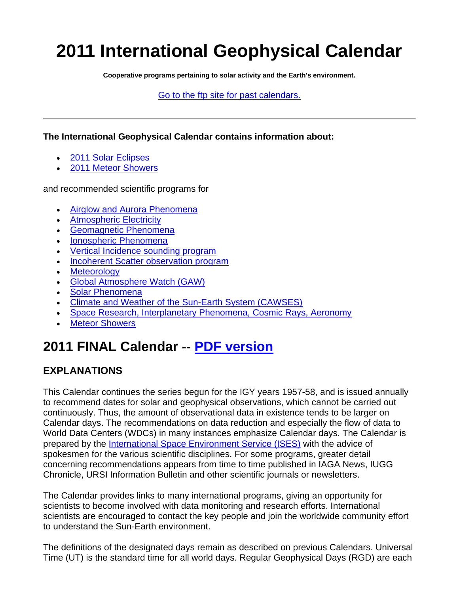# **2011 International Geophysical Calendar**

**Cooperative programs pertaining to solar activity and the Earth's environment.**

[Go to the ftp site for past calendars.](ftp://ftp.ngdc.noaa.gov/STP/SOLAR_DATA/CALENDARS/IGC_CALENDAR)

**The International Geophysical Calendar contains information about:** 

- [2011 Solar Eclipses](#page-1-0)
- [2011 Meteor Showers](#page-2-0)

and recommended scientific programs for

- [Airglow and Aurora Phenomena](#page-3-0)
- [Atmospheric Electricity](#page-3-1)
- [Geomagnetic Phenomena](#page-4-0)
- [Ionospheric Phenomena](#page-4-1)
- [Vertical Incidence sounding program](#page-4-2)
- [Incoherent Scatter observation program](#page-4-3)
- [Meteorology](#page-6-0)
- [Global Atmosphere Watch \(GAW\)](#page-6-1)
- [Solar Phenomena](#page-6-2)
- [Climate and Weather of the Sun-Earth System \(CAWSES\)](#page-6-3)
- [Space Research, Interplanetary Phenomena, Cosmic Rays, Aeronomy](#page-7-0)
- [Meteor Showers](#page-7-1)

# **2011 FINAL Calendar -- [PDF version](ftp://ftp.ngdc.noaa.gov/STP/SOLAR_DATA/CALENDARS/IGC_CALENDAR/2011)**

#### **EXPLANATIONS**

This Calendar continues the series begun for the IGY years 1957-58, and is issued annually to recommend dates for solar and geophysical observations, which cannot be carried out continuously. Thus, the amount of observational data in existence tends to be larger on Calendar days. The recommendations on data reduction and especially the flow of data to World Data Centers (WDCs) in many instances emphasize Calendar days. The Calendar is prepared by the [International Space Environment Service \(ISES\)](http://www.ises-spaceweather.org/) with the advice of spokesmen for the various scientific disciplines. For some programs, greater detail concerning recommendations appears from time to time published in IAGA News, IUGG Chronicle, URSI Information Bulletin and other scientific journals or newsletters.

The Calendar provides links to many international programs, giving an opportunity for scientists to become involved with data monitoring and research efforts. International scientists are encouraged to contact the key people and join the worldwide community effort to understand the Sun-Earth environment.

The definitions of the designated days remain as described on previous Calendars. Universal Time (UT) is the standard time for all world days. Regular Geophysical Days (RGD) are each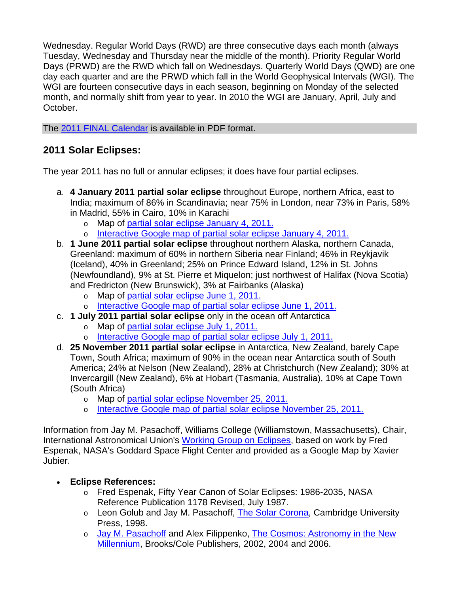Wednesday. Regular World Days (RWD) are three consecutive days each month (always Tuesday, Wednesday and Thursday near the middle of the month). Priority Regular World Days (PRWD) are the RWD which fall on Wednesdays. Quarterly World Days (QWD) are one day each quarter and are the PRWD which fall in the World Geophysical Intervals (WGI). The WGI are fourteen consecutive days in each season, beginning on Monday of the selected month, and normally shift from year to year. In 2010 the WGI are January, April, July and October.

The [2011 FINAL Calendar](ftp://ftp.ngdc.noaa.gov/STP/SOLAR_DATA/CALENDARS/IGC_CALENDAR/2011) is available in PDF format.

## <span id="page-1-0"></span>**2011 Solar Eclipses:**

The year 2011 has no full or annular eclipses; it does have four partial eclipses.

- a. **4 January 2011 partial solar eclipse** throughout Europe, northern Africa, east to India; maximum of 86% in Scandinavia; near 75% in London, near 73% in Paris, 58% in Madrid, 55% in Cairo, 10% in Karachi
	- o Map of [partial solar eclipse January 4, 2011.](http://eclipse.gsfc.nasa.gov/SEplot/SEplot2001/SE2011Jan04P.GIF)
	- o [Interactive Google map of partial solar eclipse January 4, 2011.](http://tinyurl.com/2011Jan04)
- b. **1 June 2011 partial solar eclipse** throughout northern Alaska, northern Canada, Greenland: maximum of 60% in northern Siberia near Finland; 46% in Reykjavik (Iceland), 40% in Greenland; 25% on Prince Edward Island, 12% in St. Johns (Newfoundland), 9% at St. Pierre et Miquelon; just northwest of Halifax (Nova Scotia) and Fredricton (New Brunswick), 3% at Fairbanks (Alaska)
	- o Map of [partial solar eclipse June 1, 2011.](http://eclipse.gsfc.nasa.gov/SEplot/SEplot2001/SE2011Jun01P.GIF)
	- o [Interactive Google map of partial solar eclipse June 1, 2011.](http://tinyurl.com/2011Jun01)
- c. **1 July 2011 partial solar eclipse** only in the ocean off Antarctica
	- o Map of [partial solar eclipse July 1, 2011.](http://eclipse.gsfc.nasa.gov/SEplot/SEplot2001/SE2011Jul01P.GIF)
	- o [Interactive Google map of partial solar eclipse July 1, 2011.](http://tinyurl.com/2011Jul01)
- d. **25 November 2011 partial solar eclipse** in Antarctica, New Zealand, barely Cape Town, South Africa; maximum of 90% in the ocean near Antarctica south of South America; 24% at Nelson (New Zealand), 28% at Christchurch (New Zealand); 30% at Invercargill (New Zealand), 6% at Hobart (Tasmania, Australia), 10% at Cape Town (South Africa)
	- o Map of [partial solar eclipse November 25, 2011.](http://eclipse.gsfc.nasa.gov/SEplot/SEplot2001/SE2011Nov25P.GIF)
	- o [Interactive Google map of partial solar eclipse November 25, 2011.](http://tinyurl.com/2011Nov25)

Information from Jay M. Pasachoff, Williams College (Williamstown, Massachusetts), Chair, International Astronomical Union's [Working Group on Eclipses,](http://www.eclipses.info/) based on work by Fred Espenak, NASA's Goddard Space Flight Center and provided as a Google Map by Xavier Jubier.

- **Eclipse References:**
	- o Fred Espenak, Fifty Year Canon of Solar Eclipses: 1986-2035, NASA Reference Publication 1178 Revised, July 1987.
	- o Leon Golub and Jay M. Pasachoff, [The Solar Corona,](http://www.williams.edu/Astronomy/corona) Cambridge University Press, 1998.
	- o [Jay M. Pasachoff](http://www.williams.edu/Astronomy/jay) and Alex Filippenko, [The Cosmos: Astronomy in the New](http://info.brookscole.com/pasachoff)  [Millennium,](http://info.brookscole.com/pasachoff) Brooks/Cole Publishers, 2002, 2004 and 2006.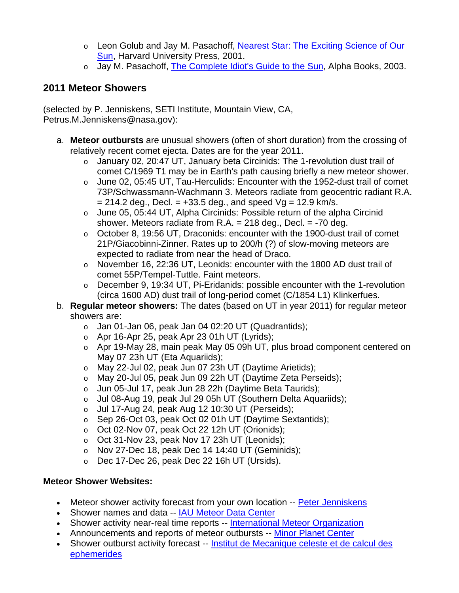- o Leon Golub and Jay M. Pasachoff, [Nearest Star: The Exciting Science of Our](http://www.williams.edu/astronomy/neareststar)  [Sun,](http://www.williams.edu/astronomy/neareststar) Harvard University Press, 2001.
- o Jay M. Pasachoff, [The Complete Idiot's Guide to the Sun](http://www.williams.edu/astronomy/sun), Alpha Books, 2003.

#### <span id="page-2-0"></span>**2011 Meteor Showers**

(selected by P. Jenniskens, SETI Institute, Mountain View, CA, Petrus.M.Jenniskens@nasa.gov):

- a. **Meteor outbursts** are unusual showers (often of short duration) from the crossing of relatively recent comet ejecta. Dates are for the year 2011.
	- o January 02, 20:47 UT, January beta Circinids: The 1-revolution dust trail of comet C/1969 T1 may be in Earth's path causing briefly a new meteor shower.
	- o June 02, 05:45 UT, Tau-Herculids: Encounter with the 1952-dust trail of comet 73P/Schwassmann-Wachmann 3. Meteors radiate from geocentric radiant R.A.  $= 214.2$  deg., Decl.  $= +33.5$  deg., and speed Vg  $= 12.9$  km/s.
	- o June 05, 05:44 UT, Alpha Circinids: Possible return of the alpha Circinid shower. Meteors radiate from  $R.A. = 218$  deg., Decl.  $= -70$  deg.
	- o October 8, 19:56 UT, Draconids: encounter with the 1900-dust trail of comet 21P/Giacobinni-Zinner. Rates up to 200/h (?) of slow-moving meteors are expected to radiate from near the head of Draco.
	- o November 16, 22:36 UT, Leonids: encounter with the 1800 AD dust trail of comet 55P/Tempel-Tuttle. Faint meteors.
	- o December 9, 19:34 UT, Pi-Eridanids: possible encounter with the 1-revolution (circa 1600 AD) dust trail of long-period comet (C/1854 L1) Klinkerfues.
- b. **Regular meteor showers:** The dates (based on UT in year 2011) for regular meteor showers are:
	- o Jan 01-Jan 06, peak Jan 04 02:20 UT (Quadrantids);
	- $\circ$  Apr 16-Apr 25, peak Apr 23 01h UT (Lyrids);
	- o Apr 19-May 28, main peak May 05 09h UT, plus broad component centered on May 07 23h UT (Eta Aquariids);
	- o May 22-Jul 02, peak Jun 07 23h UT (Daytime Arietids);
	- o May 20-Jul 05, peak Jun 09 22h UT (Daytime Zeta Perseids);
	- o Jun 05-Jul 17, peak Jun 28 22h (Daytime Beta Taurids);
	- o Jul 08-Aug 19, peak Jul 29 05h UT (Southern Delta Aquariids);
	- $\circ$  Jul 17-Aug 24, peak Aug 12 10:30 UT (Perseids);
	- o Sep 26-Oct 03, peak Oct 02 01h UT (Daytime Sextantids);
	- o Oct 02-Nov 07, peak Oct 22 12h UT (Orionids);
	- o Oct 31-Nov 23, peak Nov 17 23h UT (Leonids);
	- $\circ$  Nov 27-Dec 18, peak Dec 14 14:40 UT (Geminids);
	- o Dec 17-Dec 26, peak Dec 22 16h UT (Ursids).

#### **Meteor Shower Websites:**

- Meteor shower activity forecast from your own location -- [Peter Jenniskens](http://leonid.arc.nasa.gov/estimator.html)
- Shower names and data -- [IAU Meteor Data Center](http://www.astro.amu.edu.pl/%7Ejopek/MDC2007/index.php)
- Shower activity near-real time reports -- [International Meteor Organization](http://www.imo.net/)
- Announcements and reports of meteor outbursts -- [Minor Planet Center](http://minorplanetcenter.net/)
- Shower outburst activity forecast -- Institut de Mecanique celeste et de calcul des [ephemerides](http://www.imcce.fr/page.php?nav=en/ephemerides/phenomenes/meteor/index.php)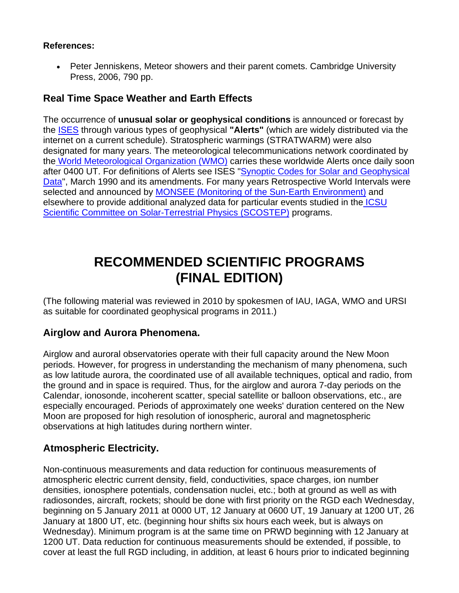#### **References:**

 Peter Jenniskens, Meteor showers and their parent comets. Cambridge University Press, 2006, 790 pp.

#### **Real Time Space Weather and Earth Effects**

The occurrence of **unusual solar or geophysical conditions** is announced or forecast by the [ISES](http://ises-spaceweather.org/) through various types of geophysical **"Alerts"** (which are widely distributed via the internet on a current schedule). Stratospheric warmings (STRATWARM) were also designated for many years. The meteorological telecommunications network coordinated by th[e World Meteorological Organization \(WMO\)](http://www.wmo.ch/) carries these worldwide Alerts once daily soon after 0400 UT. For definitions of Alerts see ISES ["Synoptic Codes for Solar and Geophysical](http://ises-spaceweather.org/)  [Data"](http://ises-spaceweather.org/), March 1990 and its amendments. For many years Retrospective World Intervals were selected and announced by [MONSEE \(Monitoring of the Sun-Earth Environment\)](http://www.ips.gov.au/IPSHosted/INAG/inag06/inag06.htm#10.1) and elsewhere to provide additional analyzed data for particular events studied in the ICSU [Scientific Committee on Solar-Terrestrial Physics \(SCOSTEP\)](http://www.yorku.ca/scostep/) programs.

# **RECOMMENDED SCIENTIFIC PROGRAMS (FINAL EDITION)**

(The following material was reviewed in 2010 by spokesmen of IAU, IAGA, WMO and URSI as suitable for coordinated geophysical programs in 2011.)

#### <span id="page-3-0"></span>**Airglow and Aurora Phenomena.**

Airglow and auroral observatories operate with their full capacity around the New Moon periods. However, for progress in understanding the mechanism of many phenomena, such as low latitude aurora, the coordinated use of all available techniques, optical and radio, from the ground and in space is required. Thus, for the airglow and aurora 7-day periods on the Calendar, ionosonde, incoherent scatter, special satellite or balloon observations, etc., are especially encouraged. Periods of approximately one weeks' duration centered on the New Moon are proposed for high resolution of ionospheric, auroral and magnetospheric observations at high latitudes during northern winter.

#### <span id="page-3-1"></span>**Atmospheric Electricity.**

Non-continuous measurements and data reduction for continuous measurements of atmospheric electric current density, field, conductivities, space charges, ion number densities, ionosphere potentials, condensation nuclei, etc.; both at ground as well as with radiosondes, aircraft, rockets; should be done with first priority on the RGD each Wednesday, beginning on 5 January 2011 at 0000 UT, 12 January at 0600 UT, 19 January at 1200 UT, 26 January at 1800 UT, etc. (beginning hour shifts six hours each week, but is always on Wednesday). Minimum program is at the same time on PRWD beginning with 12 January at 1200 UT. Data reduction for continuous measurements should be extended, if possible, to cover at least the full RGD including, in addition, at least 6 hours prior to indicated beginning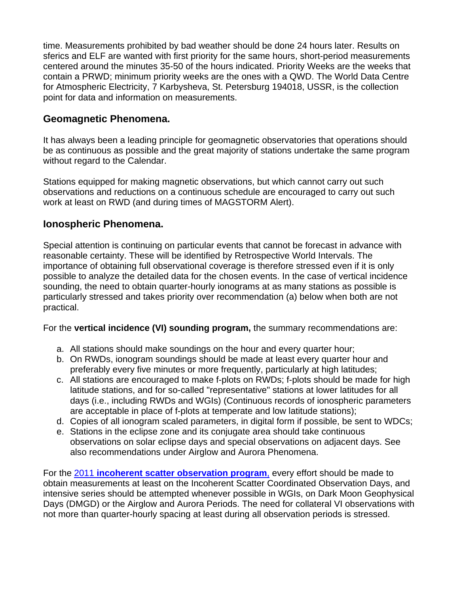time. Measurements prohibited by bad weather should be done 24 hours later. Results on sferics and ELF are wanted with first priority for the same hours, short-period measurements centered around the minutes 35-50 of the hours indicated. Priority Weeks are the weeks that contain a PRWD; minimum priority weeks are the ones with a QWD. The World Data Centre for Atmospheric Electricity, 7 Karbysheva, St. Petersburg 194018, USSR, is the collection point for data and information on measurements.

#### <span id="page-4-0"></span>**Geomagnetic Phenomena.**

It has always been a leading principle for geomagnetic observatories that operations should be as continuous as possible and the great majority of stations undertake the same program without regard to the Calendar.

Stations equipped for making magnetic observations, but which cannot carry out such observations and reductions on a continuous schedule are encouraged to carry out such work at least on RWD (and during times of MAGSTORM Alert).

#### <span id="page-4-1"></span>**Ionospheric Phenomena.**

Special attention is continuing on particular events that cannot be forecast in advance with reasonable certainty. These will be identified by Retrospective World Intervals. The importance of obtaining full observational coverage is therefore stressed even if it is only possible to analyze the detailed data for the chosen events. In the case of vertical incidence sounding, the need to obtain quarter-hourly ionograms at as many stations as possible is particularly stressed and takes priority over recommendation (a) below when both are not practical.

<span id="page-4-2"></span>For the **vertical incidence (VI) sounding program,** the summary recommendations are:

- a. All stations should make soundings on the hour and every quarter hour;
- b. On RWDs, ionogram soundings should be made at least every quarter hour and preferably every five minutes or more frequently, particularly at high latitudes;
- c. All stations are encouraged to make f-plots on RWDs; f-plots should be made for high latitude stations, and for so-called "representative" stations at lower latitudes for all days (i.e., including RWDs and WGIs) (Continuous records of ionospheric parameters are acceptable in place of f-plots at temperate and low latitude stations);
- d. Copies of all ionogram scaled parameters, in digital form if possible, be sent to WDCs;
- e. Stations in the eclipse zone and its conjugate area should take continuous observations on solar eclipse days and special observations on adjacent days. See also recommendations under Airglow and Aurora Phenomena.

<span id="page-4-3"></span>For the 2011 **[incoherent scatter observation program](http://e7.eiscat.se/Members/ingemar/skedule/WD2011.htm)**, every effort should be made to obtain measurements at least on the Incoherent Scatter Coordinated Observation Days, and intensive series should be attempted whenever possible in WGIs, on Dark Moon Geophysical Days (DMGD) or the Airglow and Aurora Periods. The need for collateral VI observations with not more than quarter-hourly spacing at least during all observation periods is stressed.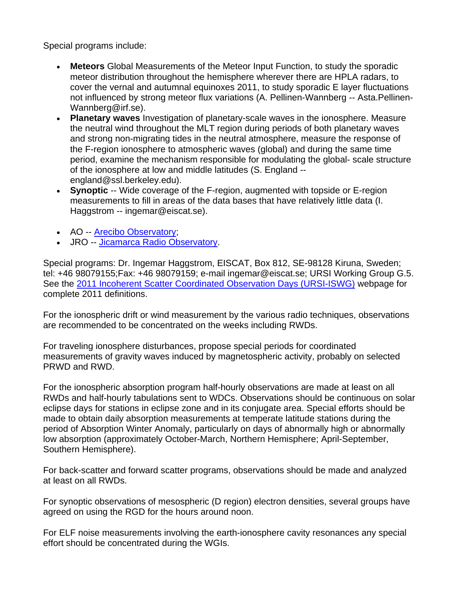Special programs include:

- **Meteors** Global Measurements of the Meteor Input Function, to study the sporadic meteor distribution throughout the hemisphere wherever there are HPLA radars, to cover the vernal and autumnal equinoxes 2011, to study sporadic E layer fluctuations not influenced by strong meteor flux variations (A. Pellinen-Wannberg -- Asta.Pellinen-Wannberg@irf.se).
- **Planetary waves** Investigation of planetary-scale waves in the ionosphere. Measure the neutral wind throughout the MLT region during periods of both planetary waves and strong non-migrating tides in the neutral atmosphere, measure the response of the F-region ionosphere to atmospheric waves (global) and during the same time period, examine the mechanism responsible for modulating the global- scale structure of the ionosphere at low and middle latitudes (S. England - england@ssl.berkeley.edu).
- **Synoptic** -- Wide coverage of the F-region, augmented with topside or E-region measurements to fill in areas of the data bases that have relatively little data (I. Haggstrom -- ingemar@eiscat.se).
- AO -- [Arecibo Observatory](http://www.naic.edu/aisr/olmon2/omframedoc.html);
- JRO -- [Jicamarca Radio Observatory](http://jro.igp.gob.pe/english/radar/operation/real-time_en.php).

Special programs: Dr. Ingemar Haggstrom, EISCAT, Box 812, SE-98128 Kiruna, Sweden; tel: +46 98079155;Fax: +46 98079159; e-mail ingemar@eiscat.se; URSI Working Group G.5. See the [2011 Incoherent Scatter Coordinated Observation Days \(URSI-ISWG\)](http://e7.eiscat.se/Members/ingemar/skedule/WD2011.htm) webpage for complete 2011 definitions.

For the ionospheric drift or wind measurement by the various radio techniques, observations are recommended to be concentrated on the weeks including RWDs.

For traveling ionosphere disturbances, propose special periods for coordinated measurements of gravity waves induced by magnetospheric activity, probably on selected PRWD and RWD.

For the ionospheric absorption program half-hourly observations are made at least on all RWDs and half-hourly tabulations sent to WDCs. Observations should be continuous on solar eclipse days for stations in eclipse zone and in its conjugate area. Special efforts should be made to obtain daily absorption measurements at temperate latitude stations during the period of Absorption Winter Anomaly, particularly on days of abnormally high or abnormally low absorption (approximately October-March, Northern Hemisphere; April-September, Southern Hemisphere).

For back-scatter and forward scatter programs, observations should be made and analyzed at least on all RWDs.

For synoptic observations of mesospheric (D region) electron densities, several groups have agreed on using the RGD for the hours around noon.

For ELF noise measurements involving the earth-ionosphere cavity resonances any special effort should be concentrated during the WGIs.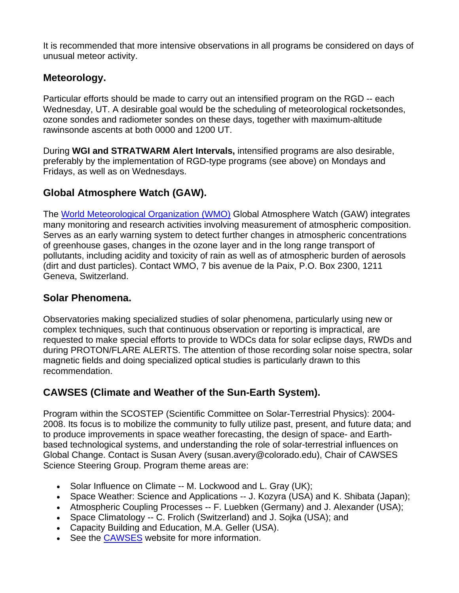It is recommended that more intensive observations in all programs be considered on days of unusual meteor activity.

#### <span id="page-6-0"></span>**Meteorology.**

Particular efforts should be made to carry out an intensified program on the RGD -- each Wednesday, UT. A desirable goal would be the scheduling of meteorological rocketsondes, ozone sondes and radiometer sondes on these days, together with maximum-altitude rawinsonde ascents at both 0000 and 1200 UT.

During **WGI and STRATWARM Alert Intervals,** intensified programs are also desirable, preferably by the implementation of RGD-type programs (see above) on Mondays and Fridays, as well as on Wednesdays.

### <span id="page-6-1"></span>**Global Atmosphere Watch (GAW).**

The [World Meteorological Organization \(WMO\)](http://www.wmo.ch/) Global Atmosphere Watch (GAW) integrates many monitoring and research activities involving measurement of atmospheric composition. Serves as an early warning system to detect further changes in atmospheric concentrations of greenhouse gases, changes in the ozone layer and in the long range transport of pollutants, including acidity and toxicity of rain as well as of atmospheric burden of aerosols (dirt and dust particles). Contact WMO, 7 bis avenue de la Paix, P.O. Box 2300, 1211 Geneva, Switzerland.

#### <span id="page-6-2"></span>**Solar Phenomena.**

Observatories making specialized studies of solar phenomena, particularly using new or complex techniques, such that continuous observation or reporting is impractical, are requested to make special efforts to provide to WDCs data for solar eclipse days, RWDs and during PROTON/FLARE ALERTS. The attention of those recording solar noise spectra, solar magnetic fields and doing specialized optical studies is particularly drawn to this recommendation.

## <span id="page-6-3"></span>**CAWSES (Climate and Weather of the Sun-Earth System).**

Program within the SCOSTEP (Scientific Committee on Solar-Terrestrial Physics): 2004- 2008. Its focus is to mobilize the community to fully utilize past, present, and future data; and to produce improvements in space weather forecasting, the design of space- and Earthbased technological systems, and understanding the role of solar-terrestrial influences on Global Change. Contact is Susan Avery (susan.avery@colorado.edu), Chair of CAWSES Science Steering Group. Program theme areas are:

- Solar Influence on Climate -- M. Lockwood and L. Gray (UK);
- Space Weather: Science and Applications -- J. Kozyra (USA) and K. Shibata (Japan);
- Atmospheric Coupling Processes -- F. Luebken (Germany) and J. Alexander (USA);
- Space Climatology -- C. Frolich (Switzerland) and J. Sojka (USA); and
- Capacity Building and Education, M.A. Geller (USA).
- See the **CAWSES** website for more information.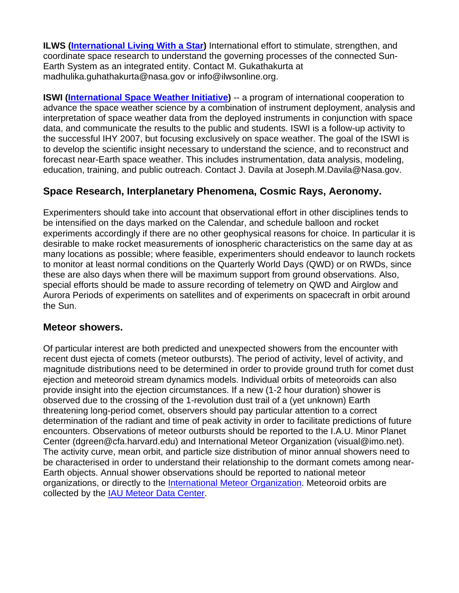**ILWS ([International Living With a Star\)](http://ilwsonline.org/)** International effort to stimulate, strengthen, and coordinate space research to understand the governing processes of the connected Sun-Earth System as an integrated entity. Contact M. Gukathakurta at madhulika.guhathakurta@nasa.gov or info@ilwsonline.org.

**ISWI ([International Space Weather Initiative](http://www.iswi-secretariat.org/)) -- a program of international cooperation to** advance the space weather science by a combination of instrument deployment, analysis and interpretation of space weather data from the deployed instruments in conjunction with space data, and communicate the results to the public and students. ISWI is a follow-up activity to the successful IHY 2007, but focusing exclusively on space weather. The goal of the ISWI is to develop the scientific insight necessary to understand the science, and to reconstruct and forecast near-Earth space weather. This includes instrumentation, data analysis, modeling, education, training, and public outreach. Contact J. Davila at Joseph.M.Davila@Nasa.gov.

#### <span id="page-7-0"></span>**Space Research, Interplanetary Phenomena, Cosmic Rays, Aeronomy.**

Experimenters should take into account that observational effort in other disciplines tends to be intensified on the days marked on the Calendar, and schedule balloon and rocket experiments accordingly if there are no other geophysical reasons for choice. In particular it is desirable to make rocket measurements of ionospheric characteristics on the same day at as many locations as possible; where feasible, experimenters should endeavor to launch rockets to monitor at least normal conditions on the Quarterly World Days (QWD) or on RWDs, since these are also days when there will be maximum support from ground observations. Also, special efforts should be made to assure recording of telemetry on QWD and Airglow and Aurora Periods of experiments on satellites and of experiments on spacecraft in orbit around the Sun.

#### <span id="page-7-1"></span>**Meteor showers.**

Of particular interest are both predicted and unexpected showers from the encounter with recent dust ejecta of comets (meteor outbursts). The period of activity, level of activity, and magnitude distributions need to be determined in order to provide ground truth for comet dust ejection and meteoroid stream dynamics models. Individual orbits of meteoroids can also provide insight into the ejection circumstances. If a new (1-2 hour duration) shower is observed due to the crossing of the 1-revolution dust trail of a (yet unknown) Earth threatening long-period comet, observers should pay particular attention to a correct determination of the radiant and time of peak activity in order to facilitate predictions of future encounters. Observations of meteor outbursts should be reported to the I.A.U. Minor Planet Center (dgreen@cfa.harvard.edu) and International Meteor Organization (visual@imo.net). The activity curve, mean orbit, and particle size distribution of minor annual showers need to be characterised in order to understand their relationship to the dormant comets among near-Earth objects. Annual shower observations should be reported to national meteor organizations, or directly to the [International Meteor Organization](http://www.imo.net/). Meteoroid orbits are collected by the [IAU Meteor Data Center](http://www.astro.sk/%7Ene/IAUMDC/Ph2003/).